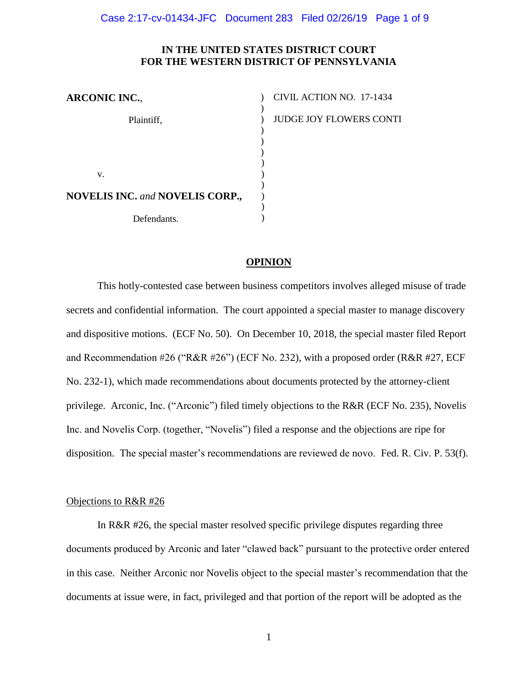## **IN THE UNITED STATES DISTRICT COURT FOR THE WESTERN DISTRICT OF PENNSYLVANIA**

| <b>ARCONIC INC.,</b>                           | CIVIL ACTION NO. 17-1434       |
|------------------------------------------------|--------------------------------|
|                                                |                                |
| Plaintiff,                                     | <b>JUDGE JOY FLOWERS CONTI</b> |
|                                                |                                |
|                                                |                                |
|                                                |                                |
| V.                                             |                                |
| <b>NOVELIS INC.</b> and <b>NOVELIS CORP.</b> , |                                |
|                                                |                                |
| Defendants.                                    |                                |

### **OPINION**

This hotly-contested case between business competitors involves alleged misuse of trade secrets and confidential information. The court appointed a special master to manage discovery and dispositive motions. (ECF No. 50). On December 10, 2018, the special master filed Report and Recommendation #26 ("R&R #26") (ECF No. 232), with a proposed order (R&R #27, ECF No. 232-1), which made recommendations about documents protected by the attorney-client privilege. Arconic, Inc. ("Arconic") filed timely objections to the R&R (ECF No. 235), Novelis Inc. and Novelis Corp. (together, "Novelis") filed a response and the objections are ripe for disposition. The special master's recommendations are reviewed de novo. Fed. R. Civ. P. 53(f).

### Objections to R&R #26

In R&R #26, the special master resolved specific privilege disputes regarding three documents produced by Arconic and later "clawed back" pursuant to the protective order entered in this case. Neither Arconic nor Novelis object to the special master's recommendation that the documents at issue were, in fact, privileged and that portion of the report will be adopted as the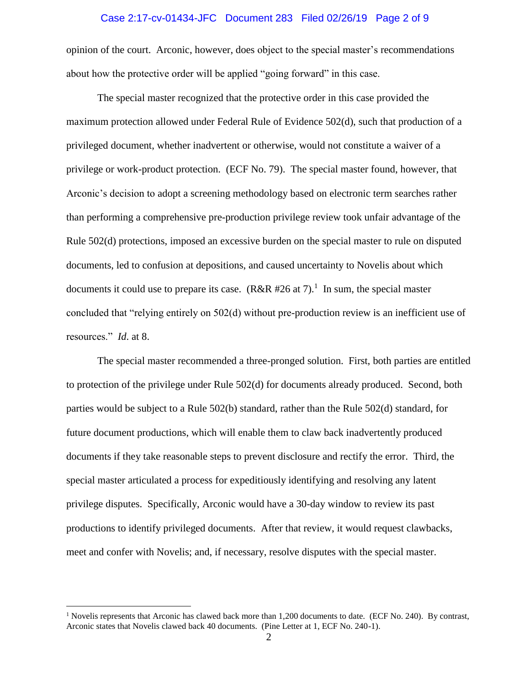#### Case 2:17-cv-01434-JFC Document 283 Filed 02/26/19 Page 2 of 9

opinion of the court. Arconic, however, does object to the special master's recommendations about how the protective order will be applied "going forward" in this case.

The special master recognized that the protective order in this case provided the maximum protection allowed under Federal Rule of Evidence 502(d), such that production of a privileged document, whether inadvertent or otherwise, would not constitute a waiver of a privilege or work-product protection. (ECF No. 79). The special master found, however, that Arconic's decision to adopt a screening methodology based on electronic term searches rather than performing a comprehensive pre-production privilege review took unfair advantage of the Rule 502(d) protections, imposed an excessive burden on the special master to rule on disputed documents, led to confusion at depositions, and caused uncertainty to Novelis about which documents it could use to prepare its case.  $(R&R #26$  at 7 $)^1$  In sum, the special master concluded that "relying entirely on 502(d) without pre-production review is an inefficient use of resources." *Id*. at 8.

The special master recommended a three-pronged solution. First, both parties are entitled to protection of the privilege under Rule 502(d) for documents already produced. Second, both parties would be subject to a Rule 502(b) standard, rather than the Rule 502(d) standard, for future document productions, which will enable them to claw back inadvertently produced documents if they take reasonable steps to prevent disclosure and rectify the error. Third, the special master articulated a process for expeditiously identifying and resolving any latent privilege disputes. Specifically, Arconic would have a 30-day window to review its past productions to identify privileged documents. After that review, it would request clawbacks, meet and confer with Novelis; and, if necessary, resolve disputes with the special master.

 $\overline{a}$ 

<sup>&</sup>lt;sup>1</sup> Novelis represents that Arconic has clawed back more than 1,200 documents to date. (ECF No. 240). By contrast, Arconic states that Novelis clawed back 40 documents. (Pine Letter at 1, ECF No. 240-1).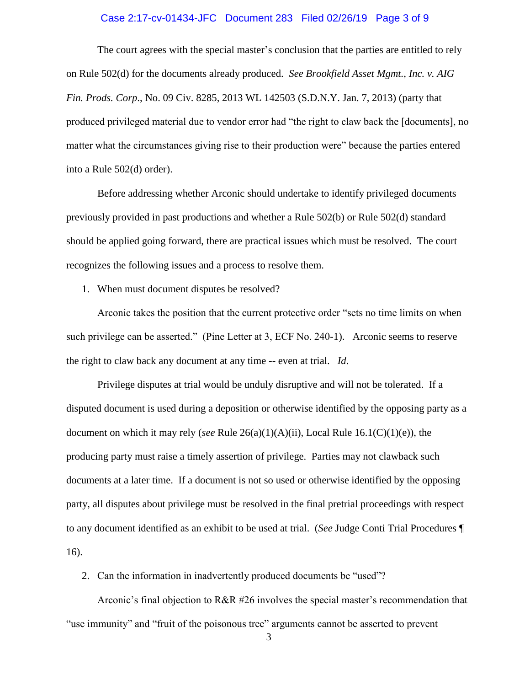#### Case 2:17-cv-01434-JFC Document 283 Filed 02/26/19 Page 3 of 9

The court agrees with the special master's conclusion that the parties are entitled to rely on Rule 502(d) for the documents already produced. *See Brookfield Asset Mgmt., Inc. v. AIG Fin. Prods. Corp*., No. 09 Civ. 8285, 2013 WL 142503 (S.D.N.Y. Jan. 7, 2013) (party that produced privileged material due to vendor error had "the right to claw back the [documents], no matter what the circumstances giving rise to their production were" because the parties entered into a Rule 502(d) order).

Before addressing whether Arconic should undertake to identify privileged documents previously provided in past productions and whether a Rule 502(b) or Rule 502(d) standard should be applied going forward, there are practical issues which must be resolved. The court recognizes the following issues and a process to resolve them.

1. When must document disputes be resolved?

Arconic takes the position that the current protective order "sets no time limits on when such privilege can be asserted." (Pine Letter at 3, ECF No. 240-1). Arconic seems to reserve the right to claw back any document at any time -- even at trial. *Id*.

Privilege disputes at trial would be unduly disruptive and will not be tolerated. If a disputed document is used during a deposition or otherwise identified by the opposing party as a document on which it may rely (*see* Rule 26(a)(1)(A)(ii), Local Rule 16.1(C)(1)(e)), the producing party must raise a timely assertion of privilege. Parties may not clawback such documents at a later time. If a document is not so used or otherwise identified by the opposing party, all disputes about privilege must be resolved in the final pretrial proceedings with respect to any document identified as an exhibit to be used at trial. (*See* Judge Conti Trial Procedures ¶ 16).

2. Can the information in inadvertently produced documents be "used"?

Arconic's final objection to R&R #26 involves the special master's recommendation that "use immunity" and "fruit of the poisonous tree" arguments cannot be asserted to prevent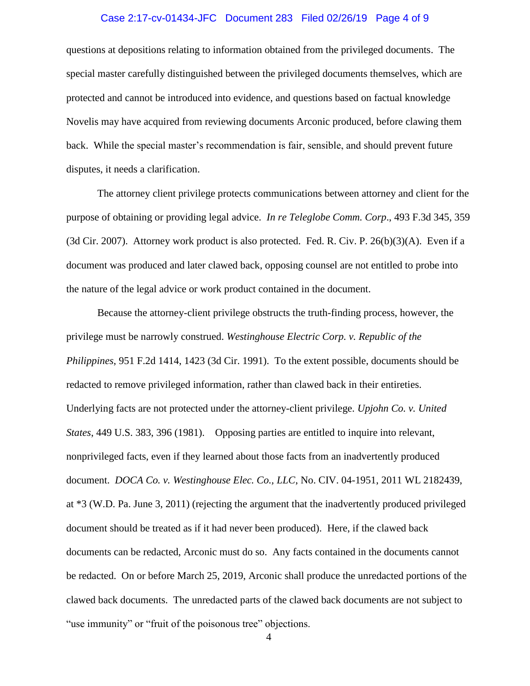### Case 2:17-cv-01434-JFC Document 283 Filed 02/26/19 Page 4 of 9

questions at depositions relating to information obtained from the privileged documents. The special master carefully distinguished between the privileged documents themselves, which are protected and cannot be introduced into evidence, and questions based on factual knowledge Novelis may have acquired from reviewing documents Arconic produced, before clawing them back. While the special master's recommendation is fair, sensible, and should prevent future disputes, it needs a clarification.

The attorney client privilege protects communications between attorney and client for the purpose of obtaining or providing legal advice. *In re Teleglobe Comm. Corp*., 493 F.3d 345, 359 (3d Cir. 2007). Attorney work product is also protected. Fed. R. Civ. P.  $26(b)(3)(A)$ . Even if a document was produced and later clawed back, opposing counsel are not entitled to probe into the nature of the legal advice or work product contained in the document.

Because the attorney-client privilege obstructs the truth-finding process, however, the privilege must be narrowly construed. *Westinghouse Electric Corp. v. Republic of the Philippines*, 951 F.2d 1414, 1423 (3d Cir. 1991). To the extent possible, documents should be redacted to remove privileged information, rather than clawed back in their entireties. Underlying facts are not protected under the attorney-client privilege. *Upjohn Co. v. United States*, 449 U.S. 383, 396 (1981). Opposing parties are entitled to inquire into relevant, nonprivileged facts, even if they learned about those facts from an inadvertently produced document. *DOCA Co. v. Westinghouse Elec. Co., LLC*, No. CIV. 04-1951, 2011 WL 2182439, at \*3 (W.D. Pa. June 3, 2011) (rejecting the argument that the inadvertently produced privileged document should be treated as if it had never been produced). Here, if the clawed back documents can be redacted, Arconic must do so. Any facts contained in the documents cannot be redacted. On or before March 25, 2019, Arconic shall produce the unredacted portions of the clawed back documents. The unredacted parts of the clawed back documents are not subject to "use immunity" or "fruit of the poisonous tree" objections.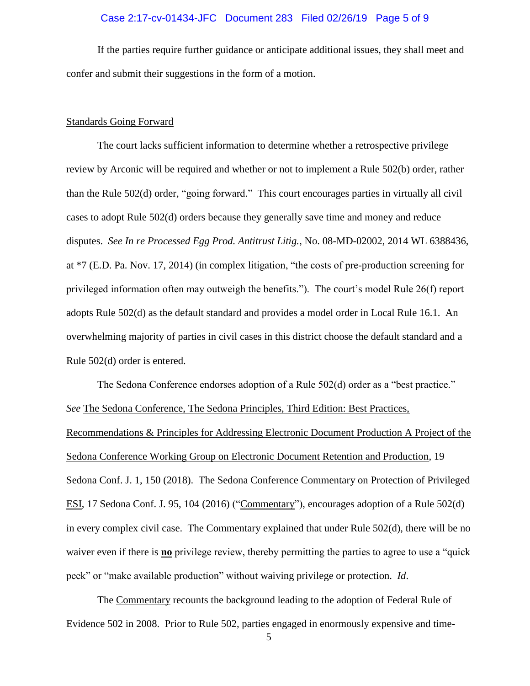#### Case 2:17-cv-01434-JFC Document 283 Filed 02/26/19 Page 5 of 9

If the parties require further guidance or anticipate additional issues, they shall meet and confer and submit their suggestions in the form of a motion.

#### Standards Going Forward

The court lacks sufficient information to determine whether a retrospective privilege review by Arconic will be required and whether or not to implement a Rule 502(b) order, rather than the Rule 502(d) order, "going forward." This court encourages parties in virtually all civil cases to adopt Rule 502(d) orders because they generally save time and money and reduce disputes. *See In re Processed Egg Prod. Antitrust Litig.*, No. 08-MD-02002, 2014 WL 6388436, at \*7 (E.D. Pa. Nov. 17, 2014) (in complex litigation, "the costs of pre-production screening for privileged information often may outweigh the benefits."). The court's model Rule 26(f) report adopts Rule 502(d) as the default standard and provides a model order in Local Rule 16.1. An overwhelming majority of parties in civil cases in this district choose the default standard and a Rule 502(d) order is entered.

The Sedona Conference endorses adoption of a Rule 502(d) order as a "best practice." *See* The Sedona Conference, The Sedona Principles, Third Edition: Best Practices, Recommendations & Principles for Addressing Electronic Document Production A Project of the Sedona Conference Working Group on Electronic Document Retention and Production, 19 Sedona Conf. J. 1, 150 (2018). The Sedona Conference Commentary on Protection of Privileged ESI, 17 Sedona Conf. J. 95, 104 (2016) ("Commentary"), encourages adoption of a Rule 502(d) in every complex civil case. The Commentary explained that under Rule 502(d), there will be no waiver even if there is **no** privilege review, thereby permitting the parties to agree to use a "quick" peek" or "make available production" without waiving privilege or protection. *Id*.

The Commentary recounts the background leading to the adoption of Federal Rule of Evidence 502 in 2008. Prior to Rule 502, parties engaged in enormously expensive and time-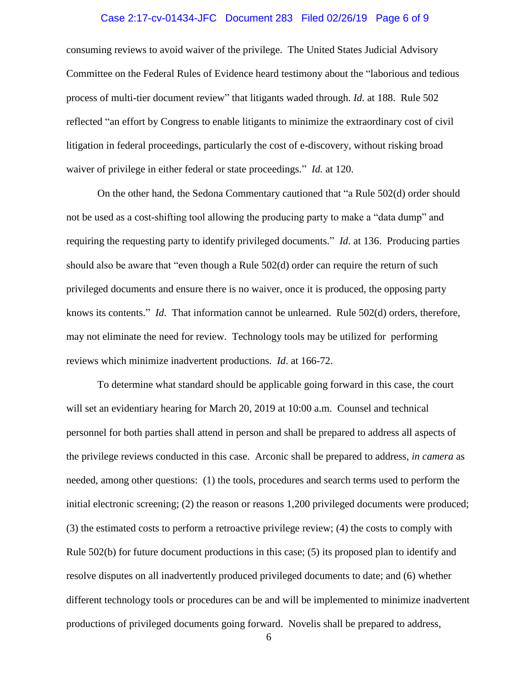### Case 2:17-cv-01434-JFC Document 283 Filed 02/26/19 Page 6 of 9

consuming reviews to avoid waiver of the privilege. The United States Judicial Advisory Committee on the Federal Rules of Evidence heard testimony about the "laborious and tedious process of multi-tier document review" that litigants waded through. *Id*. at 188. Rule 502 reflected "an effort by Congress to enable litigants to minimize the extraordinary cost of civil litigation in federal proceedings, particularly the cost of e-discovery, without risking broad waiver of privilege in either federal or state proceedings." *Id.* at 120.

On the other hand, the Sedona Commentary cautioned that "a Rule 502(d) order should not be used as a cost-shifting tool allowing the producing party to make a "data dump" and requiring the requesting party to identify privileged documents." *Id*. at 136. Producing parties should also be aware that "even though a Rule 502(d) order can require the return of such privileged documents and ensure there is no waiver, once it is produced, the opposing party knows its contents." *Id*. That information cannot be unlearned. Rule 502(d) orders, therefore, may not eliminate the need for review. Technology tools may be utilized for performing reviews which minimize inadvertent productions. *Id*. at 166-72.

To determine what standard should be applicable going forward in this case, the court will set an evidentiary hearing for March 20, 2019 at 10:00 a.m. Counsel and technical personnel for both parties shall attend in person and shall be prepared to address all aspects of the privilege reviews conducted in this case. Arconic shall be prepared to address, *in camera* as needed, among other questions: (1) the tools, procedures and search terms used to perform the initial electronic screening; (2) the reason or reasons 1,200 privileged documents were produced; (3) the estimated costs to perform a retroactive privilege review; (4) the costs to comply with Rule 502(b) for future document productions in this case; (5) its proposed plan to identify and resolve disputes on all inadvertently produced privileged documents to date; and (6) whether different technology tools or procedures can be and will be implemented to minimize inadvertent productions of privileged documents going forward. Novelis shall be prepared to address,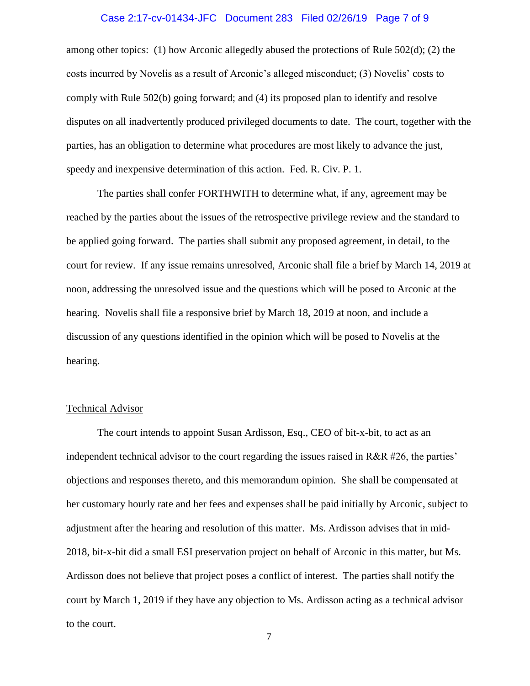### Case 2:17-cv-01434-JFC Document 283 Filed 02/26/19 Page 7 of 9

among other topics: (1) how Arconic allegedly abused the protections of Rule 502(d); (2) the costs incurred by Novelis as a result of Arconic's alleged misconduct; (3) Novelis' costs to comply with Rule 502(b) going forward; and (4) its proposed plan to identify and resolve disputes on all inadvertently produced privileged documents to date. The court, together with the parties, has an obligation to determine what procedures are most likely to advance the just, speedy and inexpensive determination of this action. Fed. R. Civ. P. 1.

The parties shall confer FORTHWITH to determine what, if any, agreement may be reached by the parties about the issues of the retrospective privilege review and the standard to be applied going forward. The parties shall submit any proposed agreement, in detail, to the court for review. If any issue remains unresolved, Arconic shall file a brief by March 14, 2019 at noon, addressing the unresolved issue and the questions which will be posed to Arconic at the hearing. Novelis shall file a responsive brief by March 18, 2019 at noon, and include a discussion of any questions identified in the opinion which will be posed to Novelis at the hearing.

#### Technical Advisor

The court intends to appoint Susan Ardisson, Esq., CEO of bit-x-bit, to act as an independent technical advisor to the court regarding the issues raised in R&R #26, the parties' objections and responses thereto, and this memorandum opinion. She shall be compensated at her customary hourly rate and her fees and expenses shall be paid initially by Arconic, subject to adjustment after the hearing and resolution of this matter. Ms. Ardisson advises that in mid-2018, bit-x-bit did a small ESI preservation project on behalf of Arconic in this matter, but Ms. Ardisson does not believe that project poses a conflict of interest. The parties shall notify the court by March 1, 2019 if they have any objection to Ms. Ardisson acting as a technical advisor to the court.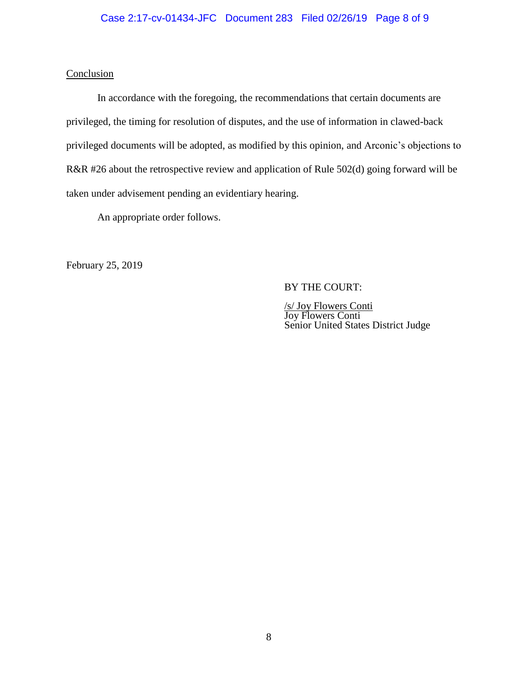# Case 2:17-cv-01434-JFC Document 283 Filed 02/26/19 Page 8 of 9

## **Conclusion**

In accordance with the foregoing, the recommendations that certain documents are privileged, the timing for resolution of disputes, and the use of information in clawed-back privileged documents will be adopted, as modified by this opinion, and Arconic's objections to R&R #26 about the retrospective review and application of Rule 502(d) going forward will be taken under advisement pending an evidentiary hearing.

An appropriate order follows.

February 25, 2019

## BY THE COURT:

/s/ Joy Flowers Conti Joy Flowers Conti Senior United States District Judge